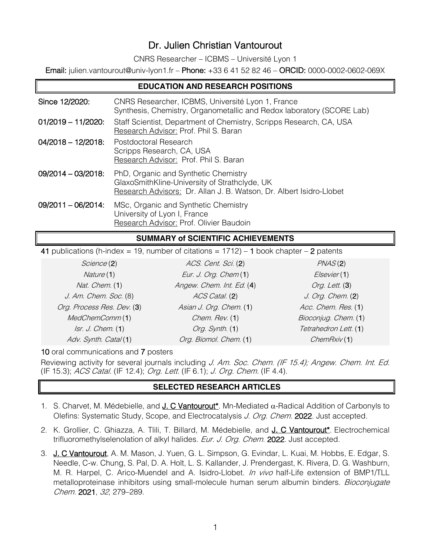## Dr. Julien Christian Vantourout

CNRS Researcher – ICBMS – Université Lyon 1

Email: julien.vantourout@univ-lyon1.fr – Phone: +33 6 41 52 82 46 – ORCID: 0000-0002-0602-069X

| <b>EDUCATION AND RESEARCH POSITIONS</b> |                                                                                                                                                              |  |
|-----------------------------------------|--------------------------------------------------------------------------------------------------------------------------------------------------------------|--|
| Since 12/2020:                          | CNRS Researcher, ICBMS, Université Lyon 1, France<br>Synthesis, Chemistry, Organometallic and Redox laboratory (SCORE Lab)                                   |  |
| $01/2019 - 11/2020$ :                   | Staff Scientist, Department of Chemistry, Scripps Research, CA, USA<br>Research Advisor: Prof. Phil S. Baran                                                 |  |
| $04/2018 - 12/2018$                     | Postdoctoral Research<br>Scripps Research, CA, USA<br>Research Advisor: Prof. Phil S. Baran                                                                  |  |
| $09/2014 - 03/2018$                     | PhD, Organic and Synthetic Chemistry<br>GlaxoSmithKline-University of Strathclyde, UK<br>Research Advisors: Dr. Allan J. B. Watson, Dr. Albert Isidro-Llobet |  |
| $09/2011 - 06/2014$ :                   | MSc, Organic and Synthetic Chemistry<br>University of Lyon I, France<br>Research Advisor: Prof. Olivier Baudoin                                              |  |

## **SUMMARY of SCIENTIFIC ACHIEVEMENTS**

41 publications (h-index = 19, number of citations =  $1712$ ) – 1 book chapter – 2 patents

| Science (2)                | ACS. Cent. Sci. (2)       | PNAS(2)               |
|----------------------------|---------------------------|-----------------------|
| Nature (1)                 | Eur. J. Org. Chem(1)      | Elsevier(1)           |
| Nat. Chem. (1)             | Angew. Chem. Int. Ed. (4) | Org. Lett. (3)        |
| J. Am. Chem. Soc. (8)      | ACS Catal. (2)            | J. Org. Chem. (2)     |
| Org. Process Res. Dev. (3) | Asian J. Org. Chem. (1)   | Acc. Chem. Res. (1)   |
| MedChemComm(1)             | Chem. Rev. (1)            | Bioconjug. Chem. (1)  |
| Isr. J. Chem. (1)          | Org. Synth. (1)           | Tetrahedron Lett. (1) |
| Adv. Synth. Catal(1)       | Org. Biomol. Chem. (1)    | ChemRxiv(1)           |

10 oral communications and 7 posters

Reviewing activity for several journals including J. Am. Soc. Chem. (IF 15.4); Angew. Chem. Int. Ed. (IF 15.3); ACS Catal. (IF 12.4); Org. Lett. (IF 6.1); J. Org. Chem. (IF 4.4).

## **SELECTED RESEARCH ARTICLES**

- 1. S. Charvet, M. Médebielle, and **J. C Vantourout\***. Mn-Mediated  $\alpha$ -Radical Addition of Carbonyls to Olefins: Systematic Study, Scope, and Electrocatalysis J. Org. Chem. 2022. Just accepted.
- 2. K. Grollier, C. Ghiazza, A. Tlili, T. Billard, M. Médebielle, and J. C Vantourout<sup>\*</sup>. Electrochemical trifluoromethylselenolation of alkyl halides. Eur. J. Org. Chem. 2022. Just accepted.
- 3. J. C Vantourout, A. M. Mason, J. Yuen, G. L. Simpson, G. Evindar, L. Kuai, M. Hobbs, E. Edgar, S. Needle, C-w. Chung, S. Pal, D. A. Holt, L. S. Kallander, J. Prendergast, K. Rivera, D. G. Washburn, M. R. Harpel, C. Arico-Muendel and A. Isidro-Llobet. In vivo half-Life extension of BMP1/TLL metalloproteinase inhibitors using small-molecule human serum albumin binders. Bioconjugate Chem. 2021, 32, 279–289.